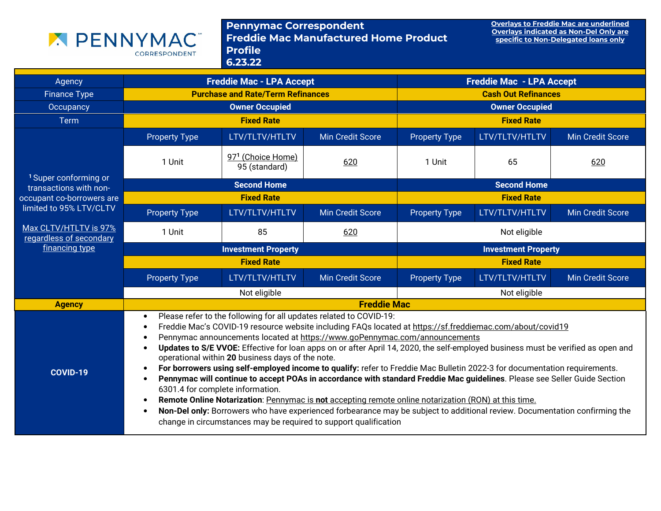

Pennymac Correspondent<br>Freddie Mac Manufactured Home Product Profile 6.23.22

Overlays to Freddie Mac are underlined Overlays indicated as Non-Del Only are specific to Non-Delegated loans only

| Agency                                                     | <b>Freddie Mac - LPA Accept</b>                                                                                                                                                                                                                                                                                                                                                                                                                                                                                                                                                                                                                                                                                                                                                                                                                                                                                                                                                                                                                                            |                                    | <b>Freddie Mac - LPA Accept</b> |                            |                    |                         |
|------------------------------------------------------------|----------------------------------------------------------------------------------------------------------------------------------------------------------------------------------------------------------------------------------------------------------------------------------------------------------------------------------------------------------------------------------------------------------------------------------------------------------------------------------------------------------------------------------------------------------------------------------------------------------------------------------------------------------------------------------------------------------------------------------------------------------------------------------------------------------------------------------------------------------------------------------------------------------------------------------------------------------------------------------------------------------------------------------------------------------------------------|------------------------------------|---------------------------------|----------------------------|--------------------|-------------------------|
| <b>Finance Type</b>                                        | <b>Purchase and Rate/Term Refinances</b>                                                                                                                                                                                                                                                                                                                                                                                                                                                                                                                                                                                                                                                                                                                                                                                                                                                                                                                                                                                                                                   |                                    |                                 | <b>Cash Out Refinances</b> |                    |                         |
| Occupancy                                                  |                                                                                                                                                                                                                                                                                                                                                                                                                                                                                                                                                                                                                                                                                                                                                                                                                                                                                                                                                                                                                                                                            | <b>Owner Occupied</b>              |                                 | <b>Owner Occupied</b>      |                    |                         |
| <b>Term</b>                                                |                                                                                                                                                                                                                                                                                                                                                                                                                                                                                                                                                                                                                                                                                                                                                                                                                                                                                                                                                                                                                                                                            | <b>Fixed Rate</b>                  |                                 | <b>Fixed Rate</b>          |                    |                         |
|                                                            | <b>Property Type</b>                                                                                                                                                                                                                                                                                                                                                                                                                                                                                                                                                                                                                                                                                                                                                                                                                                                                                                                                                                                                                                                       | LTV/TLTV/HTLTV                     | <b>Min Credit Score</b>         | <b>Property Type</b>       | LTV/TLTV/HTLTV     | <b>Min Credit Score</b> |
|                                                            | 1 Unit                                                                                                                                                                                                                                                                                                                                                                                                                                                                                                                                                                                                                                                                                                                                                                                                                                                                                                                                                                                                                                                                     | 971 (Choice Home)<br>95 (standard) | 620                             | 1 Unit                     | 65                 | 620                     |
| <sup>1</sup> Super conforming or<br>transactions with non- |                                                                                                                                                                                                                                                                                                                                                                                                                                                                                                                                                                                                                                                                                                                                                                                                                                                                                                                                                                                                                                                                            | <b>Second Home</b>                 |                                 |                            | <b>Second Home</b> |                         |
| occupant co-borrowers are                                  |                                                                                                                                                                                                                                                                                                                                                                                                                                                                                                                                                                                                                                                                                                                                                                                                                                                                                                                                                                                                                                                                            | <b>Fixed Rate</b>                  |                                 | <b>Fixed Rate</b>          |                    |                         |
| limited to 95% LTV/CLTV                                    | <b>Property Type</b>                                                                                                                                                                                                                                                                                                                                                                                                                                                                                                                                                                                                                                                                                                                                                                                                                                                                                                                                                                                                                                                       | LTV/TLTV/HTLTV                     | <b>Min Credit Score</b>         | <b>Property Type</b>       | LTV/TLTV/HTLTV     | <b>Min Credit Score</b> |
| Max CLTV/HTLTV is 97%<br>regardless of secondary           | 1 Unit                                                                                                                                                                                                                                                                                                                                                                                                                                                                                                                                                                                                                                                                                                                                                                                                                                                                                                                                                                                                                                                                     | 85                                 | 620                             |                            | Not eligible       |                         |
| financing type                                             |                                                                                                                                                                                                                                                                                                                                                                                                                                                                                                                                                                                                                                                                                                                                                                                                                                                                                                                                                                                                                                                                            | <b>Investment Property</b>         |                                 | <b>Investment Property</b> |                    |                         |
|                                                            | <b>Fixed Rate</b>                                                                                                                                                                                                                                                                                                                                                                                                                                                                                                                                                                                                                                                                                                                                                                                                                                                                                                                                                                                                                                                          |                                    |                                 | <b>Fixed Rate</b>          |                    |                         |
|                                                            | <b>Property Type</b>                                                                                                                                                                                                                                                                                                                                                                                                                                                                                                                                                                                                                                                                                                                                                                                                                                                                                                                                                                                                                                                       | LTV/TLTV/HTLTV                     | <b>Min Credit Score</b>         | <b>Property Type</b>       | LTV/TLTV/HTLTV     | <b>Min Credit Score</b> |
|                                                            |                                                                                                                                                                                                                                                                                                                                                                                                                                                                                                                                                                                                                                                                                                                                                                                                                                                                                                                                                                                                                                                                            | Not eligible                       |                                 |                            | Not eligible       |                         |
| <b>Agency</b>                                              | <b>Freddie Mac</b>                                                                                                                                                                                                                                                                                                                                                                                                                                                                                                                                                                                                                                                                                                                                                                                                                                                                                                                                                                                                                                                         |                                    |                                 |                            |                    |                         |
| <b>COVID-19</b>                                            | Please refer to the following for all updates related to COVID-19:<br>$\bullet$<br>Freddie Mac's COVID-19 resource website including FAQs located at https://sf.freddiemac.com/about/covid19<br>Pennymac announcements located at https://www.goPennymac.com/announcements<br>Updates to S/E VVOE: Effective for loan apps on or after April 14, 2020, the self-employed business must be verified as open and<br>operational within 20 business days of the note.<br>For borrowers using self-employed income to qualify: refer to Freddie Mac Bulletin 2022-3 for documentation requirements.<br>Pennymac will continue to accept POAs in accordance with standard Freddie Mac guidelines. Please see Seller Guide Section<br>6301.4 for complete information.<br>Remote Online Notarization: Pennymac is not accepting remote online notarization (RON) at this time.<br>Non-Del only: Borrowers who have experienced forbearance may be subject to additional review. Documentation confirming the<br>change in circumstances may be required to support qualification |                                    |                                 |                            |                    |                         |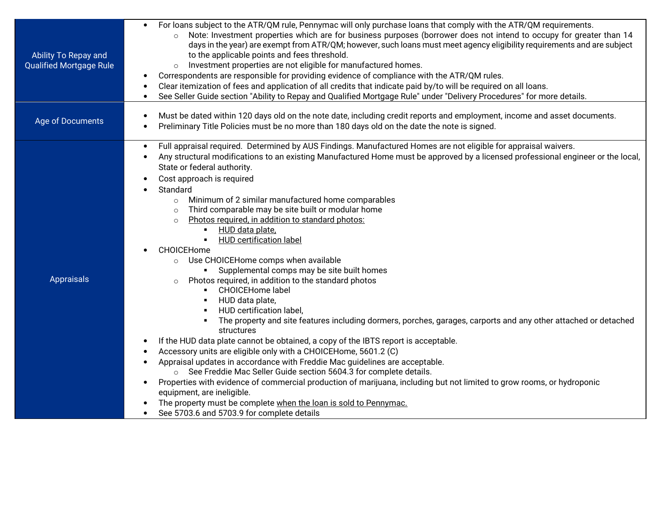| Ability To Repay and<br><b>Qualified Mortgage Rule</b> | For loans subject to the ATR/QM rule, Pennymac will only purchase loans that comply with the ATR/QM requirements.<br>$\bullet$<br>Note: Investment properties which are for business purposes (borrower does not intend to occupy for greater than 14<br>$\circ$<br>days in the year) are exempt from ATR/QM; however, such loans must meet agency eligibility requirements and are subject<br>to the applicable points and fees threshold.<br>Investment properties are not eligible for manufactured homes.<br>$\circ$<br>Correspondents are responsible for providing evidence of compliance with the ATR/QM rules.<br>Clear itemization of fees and application of all credits that indicate paid by/to will be required on all loans.<br>See Seller Guide section "Ability to Repay and Qualified Mortgage Rule" under "Delivery Procedures" for more details.<br>$\bullet$                                                                                                                                                                                                                                                                                                                                                                                                                                                                                                                                                                                                                                                                                                                                                              |
|--------------------------------------------------------|-----------------------------------------------------------------------------------------------------------------------------------------------------------------------------------------------------------------------------------------------------------------------------------------------------------------------------------------------------------------------------------------------------------------------------------------------------------------------------------------------------------------------------------------------------------------------------------------------------------------------------------------------------------------------------------------------------------------------------------------------------------------------------------------------------------------------------------------------------------------------------------------------------------------------------------------------------------------------------------------------------------------------------------------------------------------------------------------------------------------------------------------------------------------------------------------------------------------------------------------------------------------------------------------------------------------------------------------------------------------------------------------------------------------------------------------------------------------------------------------------------------------------------------------------------------------------------------------------------------------------------------------------|
| Age of Documents                                       | Must be dated within 120 days old on the note date, including credit reports and employment, income and asset documents.<br>$\bullet$<br>Preliminary Title Policies must be no more than 180 days old on the date the note is signed.                                                                                                                                                                                                                                                                                                                                                                                                                                                                                                                                                                                                                                                                                                                                                                                                                                                                                                                                                                                                                                                                                                                                                                                                                                                                                                                                                                                                         |
| Appraisals                                             | Full appraisal required. Determined by AUS Findings. Manufactured Homes are not eligible for appraisal waivers.<br>$\bullet$<br>Any structural modifications to an existing Manufactured Home must be approved by a licensed professional engineer or the local,<br>$\bullet$<br>State or federal authority.<br>Cost approach is required<br>$\bullet$<br>Standard<br>Minimum of 2 similar manufactured home comparables<br>$\circ$<br>Third comparable may be site built or modular home<br>$\circ$<br>Photos required, in addition to standard photos:<br>$\circ$<br>HUD data plate,<br><b>HUD certification label</b><br>CHOICEHome<br>Use CHOICEHome comps when available<br>$\circ$<br>• Supplemental comps may be site built homes<br>Photos required, in addition to the standard photos<br>$\circ$<br><b>CHOICEHome label</b><br>$\blacksquare$<br>HUD data plate,<br>HUD certification label,<br>The property and site features including dormers, porches, garages, carports and any other attached or detached<br>structures<br>If the HUD data plate cannot be obtained, a copy of the IBTS report is acceptable.<br>Accessory units are eligible only with a CHOICEHome, 5601.2 (C)<br>Appraisal updates in accordance with Freddie Mac guidelines are acceptable.<br>$\bullet$<br>○ See Freddie Mac Seller Guide section 5604.3 for complete details.<br>Properties with evidence of commercial production of marijuana, including but not limited to grow rooms, or hydroponic<br>equipment, are ineligible.<br>The property must be complete when the loan is sold to Pennymac.<br>See 5703.6 and 5703.9 for complete details |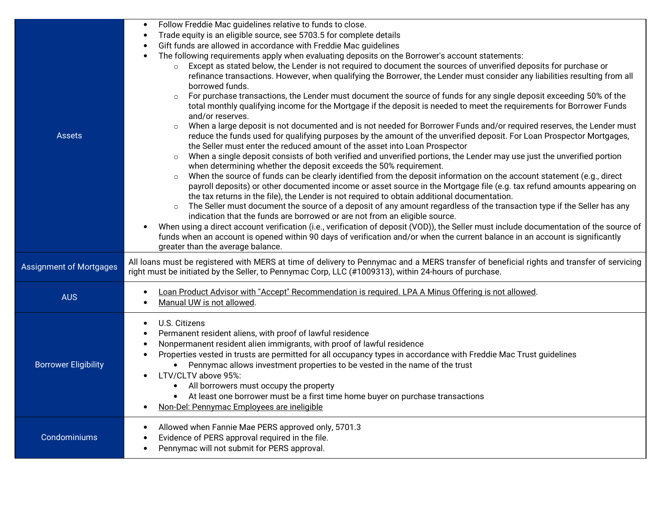|                                | Follow Freddie Mac guidelines relative to funds to close.                                                                                                                                                                                                               |
|--------------------------------|-------------------------------------------------------------------------------------------------------------------------------------------------------------------------------------------------------------------------------------------------------------------------|
|                                | Trade equity is an eligible source, see 5703.5 for complete details<br>$\bullet$                                                                                                                                                                                        |
|                                | Gift funds are allowed in accordance with Freddie Mac guidelines                                                                                                                                                                                                        |
|                                | The following requirements apply when evaluating deposits on the Borrower's account statements:                                                                                                                                                                         |
|                                | Except as stated below, the Lender is not required to document the sources of unverified deposits for purchase or<br>$\circ$                                                                                                                                            |
|                                | refinance transactions. However, when qualifying the Borrower, the Lender must consider any liabilities resulting from all                                                                                                                                              |
|                                | borrowed funds.                                                                                                                                                                                                                                                         |
|                                | For purchase transactions, the Lender must document the source of funds for any single deposit exceeding 50% of the<br>$\circ$                                                                                                                                          |
|                                | total monthly qualifying income for the Mortgage if the deposit is needed to meet the requirements for Borrower Funds                                                                                                                                                   |
|                                | and/or reserves.                                                                                                                                                                                                                                                        |
|                                | When a large deposit is not documented and is not needed for Borrower Funds and/or required reserves, the Lender must<br>$\circ$                                                                                                                                        |
| <b>Assets</b>                  | reduce the funds used for qualifying purposes by the amount of the unverified deposit. For Loan Prospector Mortgages,<br>the Seller must enter the reduced amount of the asset into Loan Prospector                                                                     |
|                                | When a single deposit consists of both verified and unverified portions, the Lender may use just the unverified portion<br>$\circ$                                                                                                                                      |
|                                | when determining whether the deposit exceeds the 50% requirement.                                                                                                                                                                                                       |
|                                | When the source of funds can be clearly identified from the deposit information on the account statement (e.g., direct<br>$\circ$                                                                                                                                       |
|                                | payroll deposits) or other documented income or asset source in the Mortgage file (e.g. tax refund amounts appearing on                                                                                                                                                 |
|                                | the tax returns in the file), the Lender is not required to obtain additional documentation.                                                                                                                                                                            |
|                                | The Seller must document the source of a deposit of any amount regardless of the transaction type if the Seller has any<br>$\circ$                                                                                                                                      |
|                                | indication that the funds are borrowed or are not from an eligible source.                                                                                                                                                                                              |
|                                | When using a direct account verification (i.e., verification of deposit (VOD)), the Seller must include documentation of the source of<br>funds when an account is opened within 90 days of verification and/or when the current balance in an account is significantly |
|                                | greater than the average balance.                                                                                                                                                                                                                                       |
|                                |                                                                                                                                                                                                                                                                         |
| <b>Assignment of Mortgages</b> | All loans must be registered with MERS at time of delivery to Pennymac and a MERS transfer of beneficial rights and transfer of servicing<br>right must be initiated by the Seller, to Pennymac Corp, LLC (#1009313), within 24-hours of purchase.                      |
|                                |                                                                                                                                                                                                                                                                         |
| <b>AUS</b>                     | Loan Product Advisor with "Accept" Recommendation is required. LPA A Minus Offering is not allowed.                                                                                                                                                                     |
|                                | Manual UW is not allowed.                                                                                                                                                                                                                                               |
|                                |                                                                                                                                                                                                                                                                         |
|                                | U.S. Citizens<br>$\bullet$<br>Permanent resident aliens, with proof of lawful residence                                                                                                                                                                                 |
|                                | Nonpermanent resident alien immigrants, with proof of lawful residence                                                                                                                                                                                                  |
|                                | Properties vested in trusts are permitted for all occupancy types in accordance with Freddie Mac Trust guidelines                                                                                                                                                       |
| <b>Borrower Eligibility</b>    | Pennymac allows investment properties to be vested in the name of the trust                                                                                                                                                                                             |
|                                | LTV/CLTV above 95%:                                                                                                                                                                                                                                                     |
|                                | All borrowers must occupy the property                                                                                                                                                                                                                                  |
|                                | At least one borrower must be a first time home buyer on purchase transactions                                                                                                                                                                                          |
|                                | Non-Del: Pennymac Employees are ineligible                                                                                                                                                                                                                              |
|                                | Allowed when Fannie Mae PERS approved only, 5701.3                                                                                                                                                                                                                      |
| Condominiums                   | Evidence of PERS approval required in the file.                                                                                                                                                                                                                         |
|                                |                                                                                                                                                                                                                                                                         |
|                                | Pennymac will not submit for PERS approval.<br>$\bullet$                                                                                                                                                                                                                |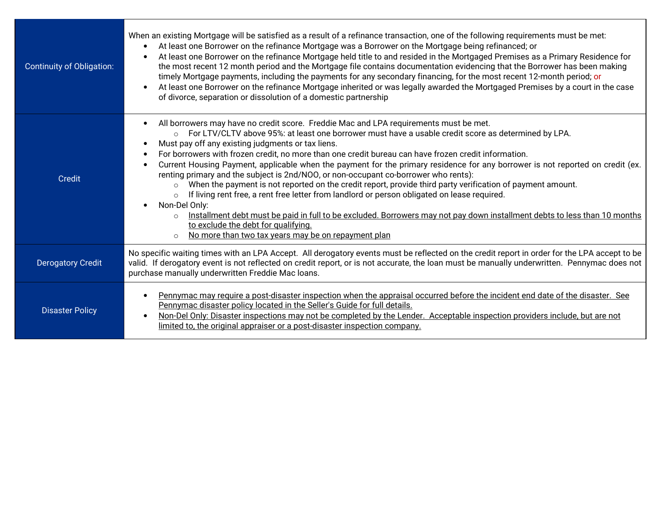| Continuity of Obligation: | When an existing Mortgage will be satisfied as a result of a refinance transaction, one of the following requirements must be met:<br>At least one Borrower on the refinance Mortgage was a Borrower on the Mortgage being refinanced; or<br>At least one Borrower on the refinance Mortgage held title to and resided in the Mortgaged Premises as a Primary Residence for<br>the most recent 12 month period and the Mortgage file contains documentation evidencing that the Borrower has been making<br>timely Mortgage payments, including the payments for any secondary financing, for the most recent 12-month period; or<br>At least one Borrower on the refinance Mortgage inherited or was legally awarded the Mortgaged Premises by a court in the case<br>of divorce, separation or dissolution of a domestic partnership                                                                                                                                                                                                                              |
|---------------------------|---------------------------------------------------------------------------------------------------------------------------------------------------------------------------------------------------------------------------------------------------------------------------------------------------------------------------------------------------------------------------------------------------------------------------------------------------------------------------------------------------------------------------------------------------------------------------------------------------------------------------------------------------------------------------------------------------------------------------------------------------------------------------------------------------------------------------------------------------------------------------------------------------------------------------------------------------------------------------------------------------------------------------------------------------------------------|
| Credit                    | All borrowers may have no credit score. Freddie Mac and LPA requirements must be met.<br>For LTV/CLTV above 95%: at least one borrower must have a usable credit score as determined by LPA.<br>Must pay off any existing judgments or tax liens.<br>For borrowers with frozen credit, no more than one credit bureau can have frozen credit information.<br>Current Housing Payment, applicable when the payment for the primary residence for any borrower is not reported on credit (ex.<br>renting primary and the subject is 2nd/NOO, or non-occupant co-borrower who rents):<br>When the payment is not reported on the credit report, provide third party verification of payment amount.<br>$\Omega$<br>If living rent free, a rent free letter from landlord or person obligated on lease required.<br>Non-Del Only:<br>Installment debt must be paid in full to be excluded. Borrowers may not pay down installment debts to less than 10 months<br>to exclude the debt for qualifying.<br>No more than two tax years may be on repayment plan<br>$\circ$ |
| <b>Derogatory Credit</b>  | No specific waiting times with an LPA Accept. All derogatory events must be reflected on the credit report in order for the LPA accept to be<br>valid. If derogatory event is not reflected on credit report, or is not accurate, the loan must be manually underwritten. Pennymac does not<br>purchase manually underwritten Freddie Mac loans.                                                                                                                                                                                                                                                                                                                                                                                                                                                                                                                                                                                                                                                                                                                    |
| <b>Disaster Policy</b>    | Pennymac may require a post-disaster inspection when the appraisal occurred before the incident end date of the disaster. See<br>Pennymac disaster policy located in the Seller's Guide for full details.<br>Non-Del Only: Disaster inspections may not be completed by the Lender. Acceptable inspection providers include, but are not<br>limited to, the original appraiser or a post-disaster inspection company.                                                                                                                                                                                                                                                                                                                                                                                                                                                                                                                                                                                                                                               |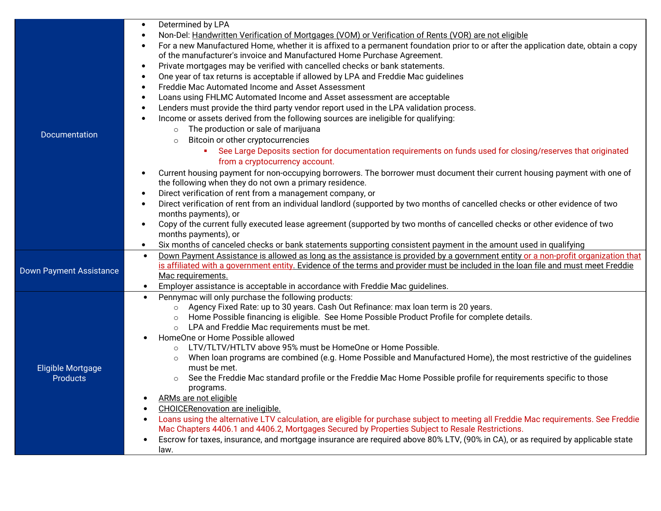|                                | Determined by LPA<br>$\bullet$                                                                                                                  |
|--------------------------------|-------------------------------------------------------------------------------------------------------------------------------------------------|
|                                | Non-Del: Handwritten Verification of Mortgages (VOM) or Verification of Rents (VOR) are not eligible<br>$\bullet$                               |
|                                | For a new Manufactured Home, whether it is affixed to a permanent foundation prior to or after the application date, obtain a copy<br>$\bullet$ |
|                                | of the manufacturer's invoice and Manufactured Home Purchase Agreement.                                                                         |
|                                | Private mortgages may be verified with cancelled checks or bank statements.<br>$\bullet$                                                        |
|                                | One year of tax returns is acceptable if allowed by LPA and Freddie Mac guidelines<br>$\bullet$                                                 |
|                                | Freddie Mac Automated Income and Asset Assessment<br>$\bullet$                                                                                  |
|                                | Loans using FHLMC Automated Income and Asset assessment are acceptable<br>$\bullet$                                                             |
|                                | Lenders must provide the third party vendor report used in the LPA validation process.<br>$\bullet$                                             |
|                                | Income or assets derived from the following sources are ineligible for qualifying:<br>$\bullet$                                                 |
|                                |                                                                                                                                                 |
| Documentation                  | The production or sale of marijuana                                                                                                             |
|                                | Bitcoin or other cryptocurrencies<br>$\Omega$                                                                                                   |
|                                | See Large Deposits section for documentation requirements on funds used for closing/reserves that originated                                    |
|                                | from a cryptocurrency account.                                                                                                                  |
|                                | Current housing payment for non-occupying borrowers. The borrower must document their current housing payment with one of<br>$\bullet$          |
|                                | the following when they do not own a primary residence.                                                                                         |
|                                | Direct verification of rent from a management company, or<br>$\bullet$                                                                          |
|                                | Direct verification of rent from an individual landlord (supported by two months of cancelled checks or other evidence of two<br>$\bullet$      |
|                                | months payments), or                                                                                                                            |
|                                | Copy of the current fully executed lease agreement (supported by two months of cancelled checks or other evidence of two<br>$\bullet$           |
|                                | months payments), or                                                                                                                            |
|                                | Six months of canceled checks or bank statements supporting consistent payment in the amount used in qualifying<br>$\bullet$                    |
|                                | Down Payment Assistance is allowed as long as the assistance is provided by a government entity or a non-profit organization that               |
| <b>Down Payment Assistance</b> | is affiliated with a government entity. Evidence of the terms and provider must be included in the loan file and must meet Freddie              |
|                                | Mac requirements.                                                                                                                               |
|                                | Employer assistance is acceptable in accordance with Freddie Mac guidelines.                                                                    |
|                                | Pennymac will only purchase the following products:                                                                                             |
|                                | Agency Fixed Rate: up to 30 years. Cash Out Refinance: max loan term is 20 years.<br>$\circ$                                                    |
|                                | Home Possible financing is eligible. See Home Possible Product Profile for complete details.<br>$\circ$                                         |
|                                | LPA and Freddie Mac requirements must be met.<br>$\circ$                                                                                        |
|                                | HomeOne or Home Possible allowed                                                                                                                |
|                                | LTV/TLTV/HTLTV above 95% must be HomeOne or Home Possible.<br>$\circ$                                                                           |
|                                | When loan programs are combined (e.g. Home Possible and Manufactured Home), the most restrictive of the guidelines                              |
| Eligible Mortgage              | must be met.                                                                                                                                    |
| <b>Products</b>                | See the Freddie Mac standard profile or the Freddie Mac Home Possible profile for requirements specific to those<br>$\circ$                     |
|                                | programs.                                                                                                                                       |
|                                | ARMs are not eligible                                                                                                                           |
|                                | <b>CHOICERenovation are ineligible.</b>                                                                                                         |
|                                | Loans using the alternative LTV calculation, are eligible for purchase subject to meeting all Freddie Mac requirements. See Freddie             |
|                                | Mac Chapters 4406.1 and 4406.2, Mortgages Secured by Properties Subject to Resale Restrictions.                                                 |
|                                | Escrow for taxes, insurance, and mortgage insurance are required above 80% LTV, (90% in CA), or as required by applicable state                 |
|                                | law.                                                                                                                                            |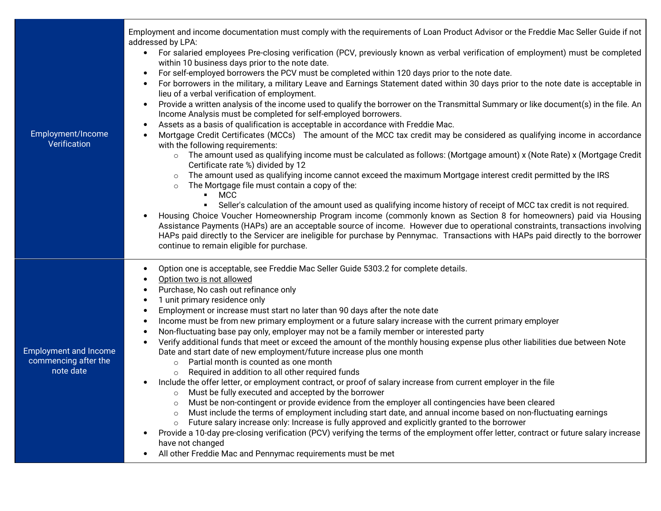|                                   | Employment and income documentation must comply with the requirements of Loan Product Advisor or the Freddie Mac Seller Guide if not<br>addressed by LPA:                                                                                                                                                                                                                                                                           |
|-----------------------------------|-------------------------------------------------------------------------------------------------------------------------------------------------------------------------------------------------------------------------------------------------------------------------------------------------------------------------------------------------------------------------------------------------------------------------------------|
|                                   | For salaried employees Pre-closing verification (PCV, previously known as verbal verification of employment) must be completed<br>within 10 business days prior to the note date.                                                                                                                                                                                                                                                   |
|                                   | For self-employed borrowers the PCV must be completed within 120 days prior to the note date.<br>For borrowers in the military, a military Leave and Earnings Statement dated within 30 days prior to the note date is acceptable in<br>lieu of a verbal verification of employment.                                                                                                                                                |
|                                   | Provide a written analysis of the income used to qualify the borrower on the Transmittal Summary or like document(s) in the file. An<br>$\bullet$<br>Income Analysis must be completed for self-employed borrowers.                                                                                                                                                                                                                 |
|                                   | Assets as a basis of qualification is acceptable in accordance with Freddie Mac.                                                                                                                                                                                                                                                                                                                                                    |
| Employment/Income<br>Verification | Mortgage Credit Certificates (MCCs) The amount of the MCC tax credit may be considered as qualifying income in accordance<br>with the following requirements:                                                                                                                                                                                                                                                                       |
|                                   | $\circ$ The amount used as qualifying income must be calculated as follows: (Mortgage amount) x (Note Rate) x (Mortgage Credit<br>Certificate rate %) divided by 12                                                                                                                                                                                                                                                                 |
|                                   | The amount used as qualifying income cannot exceed the maximum Mortgage interest credit permitted by the IRS<br>The Mortgage file must contain a copy of the:<br>$\circ$<br>$-MCC$                                                                                                                                                                                                                                                  |
|                                   | Seller's calculation of the amount used as qualifying income history of receipt of MCC tax credit is not required.                                                                                                                                                                                                                                                                                                                  |
|                                   | Housing Choice Voucher Homeownership Program income (commonly known as Section 8 for homeowners) paid via Housing<br>Assistance Payments (HAPs) are an acceptable source of income. However due to operational constraints, transactions involving<br>HAPs paid directly to the Servicer are ineligible for purchase by Pennymac. Transactions with HAPs paid directly to the borrower<br>continue to remain eligible for purchase. |
|                                   | Option one is acceptable, see Freddie Mac Seller Guide 5303.2 for complete details.<br>$\bullet$                                                                                                                                                                                                                                                                                                                                    |
|                                   | Option two is not allowed                                                                                                                                                                                                                                                                                                                                                                                                           |
|                                   | Purchase, No cash out refinance only<br>1 unit primary residence only<br>$\bullet$                                                                                                                                                                                                                                                                                                                                                  |
|                                   | Employment or increase must start no later than 90 days after the note date<br>$\bullet$                                                                                                                                                                                                                                                                                                                                            |
|                                   | Income must be from new primary employment or a future salary increase with the current primary employer<br>Non-fluctuating base pay only, employer may not be a family member or interested party                                                                                                                                                                                                                                  |
| <b>Employment and Income</b>      | Verify additional funds that meet or exceed the amount of the monthly housing expense plus other liabilities due between Note<br>$\bullet$<br>Date and start date of new employment/future increase plus one month                                                                                                                                                                                                                  |
| commencing after the<br>note date | Partial month is counted as one month<br>$\circ$                                                                                                                                                                                                                                                                                                                                                                                    |
|                                   | o Required in addition to all other required funds<br>Include the offer letter, or employment contract, or proof of salary increase from current employer in the file                                                                                                                                                                                                                                                               |
|                                   | Must be fully executed and accepted by the borrower<br>$\circ$                                                                                                                                                                                                                                                                                                                                                                      |
|                                   | Must be non-contingent or provide evidence from the employer all contingencies have been cleared<br>$\circ$<br>Must include the terms of employment including start date, and annual income based on non-fluctuating earnings<br>$\circ$                                                                                                                                                                                            |
|                                   | Future salary increase only: Increase is fully approved and explicitly granted to the borrower<br>$\circ$                                                                                                                                                                                                                                                                                                                           |
|                                   | Provide a 10-day pre-closing verification (PCV) verifying the terms of the employment offer letter, contract or future salary increase<br>have not changed                                                                                                                                                                                                                                                                          |
|                                   | All other Freddie Mac and Pennymac requirements must be met                                                                                                                                                                                                                                                                                                                                                                         |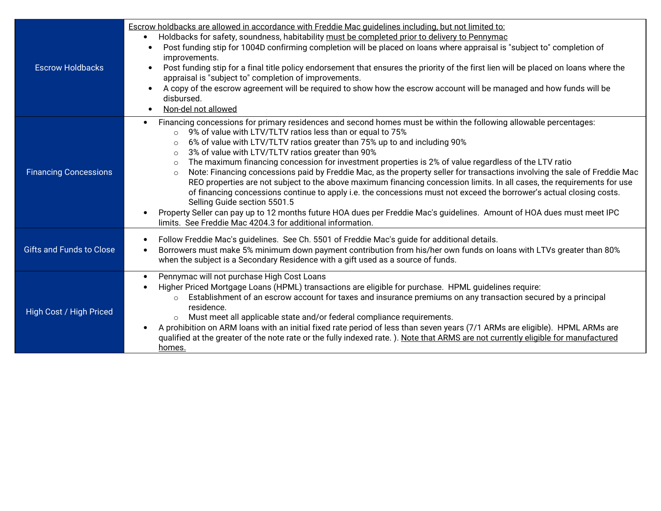| <b>Escrow Holdbacks</b>         | Escrow holdbacks are allowed in accordance with Freddie Mac quidelines including, but not limited to:<br>Holdbacks for safety, soundness, habitability must be completed prior to delivery to Pennymac<br>Post funding stip for 1004D confirming completion will be placed on loans where appraisal is "subject to" completion of<br>$\bullet$<br>improvements.<br>Post funding stip for a final title policy endorsement that ensures the priority of the first lien will be placed on loans where the<br>$\bullet$<br>appraisal is "subject to" completion of improvements.<br>A copy of the escrow agreement will be required to show how the escrow account will be managed and how funds will be<br>$\bullet$<br>disbursed.<br>Non-del not allowed<br>$\bullet$                                                                                                                                                                                                                                                                                                                                    |
|---------------------------------|---------------------------------------------------------------------------------------------------------------------------------------------------------------------------------------------------------------------------------------------------------------------------------------------------------------------------------------------------------------------------------------------------------------------------------------------------------------------------------------------------------------------------------------------------------------------------------------------------------------------------------------------------------------------------------------------------------------------------------------------------------------------------------------------------------------------------------------------------------------------------------------------------------------------------------------------------------------------------------------------------------------------------------------------------------------------------------------------------------|
| <b>Financing Concessions</b>    | Financing concessions for primary residences and second homes must be within the following allowable percentages:<br>$\bullet$<br>9% of value with LTV/TLTV ratios less than or equal to 75%<br>$\circ$<br>6% of value with LTV/TLTV ratios greater than 75% up to and including 90%<br>$\circ$<br>3% of value with LTV/TLTV ratios greater than 90%<br>$\circ$<br>The maximum financing concession for investment properties is 2% of value regardless of the LTV ratio<br>$\circ$<br>Note: Financing concessions paid by Freddie Mac, as the property seller for transactions involving the sale of Freddie Mac<br>$\circ$<br>REO properties are not subject to the above maximum financing concession limits. In all cases, the requirements for use<br>of financing concessions continue to apply i.e. the concessions must not exceed the borrower's actual closing costs.<br>Selling Guide section 5501.5<br>Property Seller can pay up to 12 months future HOA dues per Freddie Mac's guidelines. Amount of HOA dues must meet IPC<br>limits. See Freddie Mac 4204.3 for additional information. |
| <b>Gifts and Funds to Close</b> | Follow Freddie Mac's guidelines. See Ch. 5501 of Freddie Mac's guide for additional details.<br>Borrowers must make 5% minimum down payment contribution from his/her own funds on loans with LTVs greater than 80%<br>$\bullet$<br>when the subject is a Secondary Residence with a gift used as a source of funds.                                                                                                                                                                                                                                                                                                                                                                                                                                                                                                                                                                                                                                                                                                                                                                                    |
| High Cost / High Priced         | Pennymac will not purchase High Cost Loans<br>$\bullet$<br>Higher Priced Mortgage Loans (HPML) transactions are eligible for purchase. HPML guidelines require:<br>Establishment of an escrow account for taxes and insurance premiums on any transaction secured by a principal<br>$\circ$<br>residence.<br>Must meet all applicable state and/or federal compliance requirements.<br>$\circ$<br>A prohibition on ARM loans with an initial fixed rate period of less than seven years (7/1 ARMs are eligible). HPML ARMs are<br>qualified at the greater of the note rate or the fully indexed rate.). Note that ARMS are not currently eligible for manufactured<br>homes.                                                                                                                                                                                                                                                                                                                                                                                                                           |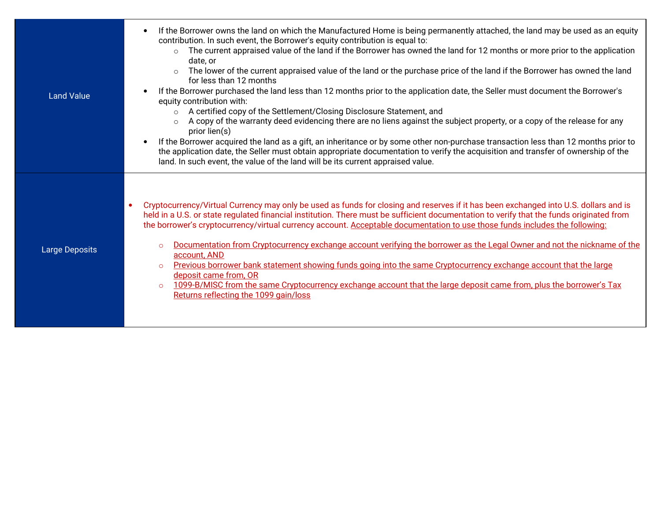| <b>Land Value</b>     | If the Borrower owns the land on which the Manufactured Home is being permanently attached, the land may be used as an equity<br>$\bullet$<br>contribution. In such event, the Borrower's equity contribution is equal to:<br>The current appraised value of the land if the Borrower has owned the land for 12 months or more prior to the application<br>$\circ$<br>date, or<br>The lower of the current appraised value of the land or the purchase price of the land if the Borrower has owned the land<br>$\circ$<br>for less than 12 months<br>If the Borrower purchased the land less than 12 months prior to the application date, the Seller must document the Borrower's<br>equity contribution with:<br>A certified copy of the Settlement/Closing Disclosure Statement, and<br>$\circ$<br>A copy of the warranty deed evidencing there are no liens against the subject property, or a copy of the release for any<br>$\circ$<br>prior lien(s)<br>If the Borrower acquired the land as a gift, an inheritance or by some other non-purchase transaction less than 12 months prior to<br>$\bullet$<br>the application date, the Seller must obtain appropriate documentation to verify the acquisition and transfer of ownership of the<br>land. In such event, the value of the land will be its current appraised value. |
|-----------------------|---------------------------------------------------------------------------------------------------------------------------------------------------------------------------------------------------------------------------------------------------------------------------------------------------------------------------------------------------------------------------------------------------------------------------------------------------------------------------------------------------------------------------------------------------------------------------------------------------------------------------------------------------------------------------------------------------------------------------------------------------------------------------------------------------------------------------------------------------------------------------------------------------------------------------------------------------------------------------------------------------------------------------------------------------------------------------------------------------------------------------------------------------------------------------------------------------------------------------------------------------------------------------------------------------------------------------------------|
| <b>Large Deposits</b> | Cryptocurrency/Virtual Currency may only be used as funds for closing and reserves if it has been exchanged into U.S. dollars and is<br>$\bullet$<br>held in a U.S. or state regulated financial institution. There must be sufficient documentation to verify that the funds originated from<br>the borrower's cryptocurrency/virtual currency account. Acceptable documentation to use those funds includes the following:<br>Documentation from Cryptocurrency exchange account verifying the borrower as the Legal Owner and not the nickname of the<br>$\circ$<br>account, AND<br>Previous borrower bank statement showing funds going into the same Cryptocurrency exchange account that the large<br>$\circ$<br>deposit came from, OR<br>1099-B/MISC from the same Cryptocurrency exchange account that the large deposit came from, plus the borrower's Tax<br>$\circ$<br>Returns reflecting the 1099 gain/loss                                                                                                                                                                                                                                                                                                                                                                                                               |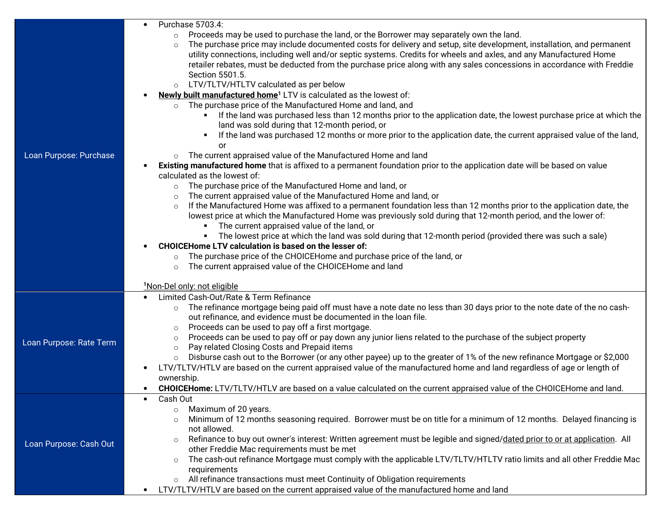|                         | Purchase 5703.4:<br>$\bullet$                                                                                                                                                                                                                                                                                                                                                                                                                                                                                                                                                                                                                                                                                                                                                                                                                                                                                                                                                                                                                                                                                                                                                                                                                                                                                                                                                                                                                                                                                                                                                                                                                                                                                                                                                                                                                                                                                                                                                                                                                                                                 |
|-------------------------|-----------------------------------------------------------------------------------------------------------------------------------------------------------------------------------------------------------------------------------------------------------------------------------------------------------------------------------------------------------------------------------------------------------------------------------------------------------------------------------------------------------------------------------------------------------------------------------------------------------------------------------------------------------------------------------------------------------------------------------------------------------------------------------------------------------------------------------------------------------------------------------------------------------------------------------------------------------------------------------------------------------------------------------------------------------------------------------------------------------------------------------------------------------------------------------------------------------------------------------------------------------------------------------------------------------------------------------------------------------------------------------------------------------------------------------------------------------------------------------------------------------------------------------------------------------------------------------------------------------------------------------------------------------------------------------------------------------------------------------------------------------------------------------------------------------------------------------------------------------------------------------------------------------------------------------------------------------------------------------------------------------------------------------------------------------------------------------------------|
| Loan Purpose: Purchase  | Proceeds may be used to purchase the land, or the Borrower may separately own the land.<br>$\circ$<br>The purchase price may include documented costs for delivery and setup, site development, installation, and permanent<br>$\circ$<br>utility connections, including well and/or septic systems. Credits for wheels and axles, and any Manufactured Home<br>retailer rebates, must be deducted from the purchase price along with any sales concessions in accordance with Freddie<br>Section 5501.5.<br>LTV/TLTV/HTLTV calculated as per below<br>$\circ$<br>Newly built manufactured home <sup>1</sup> LTV is calculated as the lowest of:<br>The purchase price of the Manufactured Home and land, and<br>$\circ$<br>If the land was purchased less than 12 months prior to the application date, the lowest purchase price at which the<br>٠<br>land was sold during that 12-month period, or<br>If the land was purchased 12 months or more prior to the application date, the current appraised value of the land,<br>٠<br>or<br>The current appraised value of the Manufactured Home and land<br>$\circ$<br>Existing manufactured home that is affixed to a permanent foundation prior to the application date will be based on value<br>calculated as the lowest of:<br>The purchase price of the Manufactured Home and land, or<br>$\circ$<br>The current appraised value of the Manufactured Home and land, or<br>$\circ$<br>If the Manufactured Home was affixed to a permanent foundation less than 12 months prior to the application date, the<br>$\circ$<br>lowest price at which the Manufactured Home was previously sold during that 12-month period, and the lower of:<br>The current appraised value of the land, or<br>٠<br>The lowest price at which the land was sold during that 12-month period (provided there was such a sale)<br>٠<br><b>CHOICEHome LTV calculation is based on the lesser of:</b><br>The purchase price of the CHOICEHome and purchase price of the land, or<br>$\circ$<br>The current appraised value of the CHOICEHome and land<br>$\circ$ |
| Loan Purpose: Rate Term | 1Non-Del only: not eligible<br>Limited Cash-Out/Rate & Term Refinance<br>$\bullet$<br>The refinance mortgage being paid off must have a note date no less than 30 days prior to the note date of the no cash-<br>$\circ$<br>out refinance, and evidence must be documented in the loan file.<br>Proceeds can be used to pay off a first mortgage.<br>$\circ$<br>Proceeds can be used to pay off or pay down any junior liens related to the purchase of the subject property<br>$\circ$<br>Pay related Closing Costs and Prepaid items<br>$\circ$<br>Disburse cash out to the Borrower (or any other payee) up to the greater of 1% of the new refinance Mortgage or \$2,000<br>$\circ$<br>LTV/TLTV/HTLV are based on the current appraised value of the manufactured home and land regardless of age or length of<br>$\bullet$<br>ownership.<br><b>CHOICEHome:</b> LTV/TLTV/HTLV are based on a value calculated on the current appraised value of the CHOICEHome and land.                                                                                                                                                                                                                                                                                                                                                                                                                                                                                                                                                                                                                                                                                                                                                                                                                                                                                                                                                                                                                                                                                                                  |
| Loan Purpose: Cash Out  | Cash Out<br>Maximum of 20 years.<br>$\circ$<br>Minimum of 12 months seasoning required. Borrower must be on title for a minimum of 12 months. Delayed financing is<br>$\circ$<br>not allowed.<br>Refinance to buy out owner's interest: Written agreement must be legible and signed/dated prior to or at application. All<br>$\circ$<br>other Freddie Mac requirements must be met<br>The cash-out refinance Mortgage must comply with the applicable LTV/TLTV/HTLTV ratio limits and all other Freddie Mac<br>$\circ$<br>requirements<br>All refinance transactions must meet Continuity of Obligation requirements<br>$\circ$<br>LTV/TLTV/HTLV are based on the current appraised value of the manufactured home and land                                                                                                                                                                                                                                                                                                                                                                                                                                                                                                                                                                                                                                                                                                                                                                                                                                                                                                                                                                                                                                                                                                                                                                                                                                                                                                                                                                  |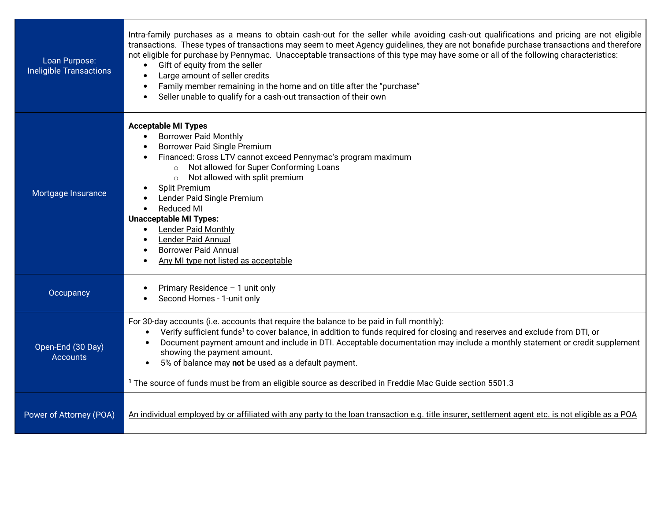| Loan Purpose:<br><b>Ineligible Transactions</b> | Intra-family purchases as a means to obtain cash-out for the seller while avoiding cash-out qualifications and pricing are not eligible<br>transactions. These types of transactions may seem to meet Agency guidelines, they are not bonafide purchase transactions and therefore<br>not eligible for purchase by Pennymac. Unacceptable transactions of this type may have some or all of the following characteristics:<br>Gift of equity from the seller<br>Large amount of seller credits<br>Family member remaining in the home and on title after the "purchase"<br>$\bullet$<br>Seller unable to qualify for a cash-out transaction of their own<br>$\bullet$ |
|-------------------------------------------------|-----------------------------------------------------------------------------------------------------------------------------------------------------------------------------------------------------------------------------------------------------------------------------------------------------------------------------------------------------------------------------------------------------------------------------------------------------------------------------------------------------------------------------------------------------------------------------------------------------------------------------------------------------------------------|
| Mortgage Insurance                              | <b>Acceptable MI Types</b><br><b>Borrower Paid Monthly</b><br><b>Borrower Paid Single Premium</b><br>Financed: Gross LTV cannot exceed Pennymac's program maximum<br>Not allowed for Super Conforming Loans<br>$\circ$<br>Not allowed with split premium<br>$\circ$<br>Split Premium<br>Lender Paid Single Premium<br><b>Reduced MI</b><br><b>Unacceptable MI Types:</b><br><b>Lender Paid Monthly</b><br>$\bullet$<br><b>Lender Paid Annual</b><br><b>Borrower Paid Annual</b><br>Any MI type not listed as acceptable                                                                                                                                               |
| Occupancy                                       | Primary Residence - 1 unit only<br>Second Homes - 1-unit only                                                                                                                                                                                                                                                                                                                                                                                                                                                                                                                                                                                                         |
| Open-End (30 Day)<br><b>Accounts</b>            | For 30-day accounts (i.e. accounts that require the balance to be paid in full monthly):<br>Verify sufficient funds <sup>1</sup> to cover balance, in addition to funds required for closing and reserves and exclude from DTI, or<br>Document payment amount and include in DTI. Acceptable documentation may include a monthly statement or credit supplement<br>showing the payment amount.<br>5% of balance may not be used as a default payment.<br><sup>1</sup> The source of funds must be from an eligible source as described in Freddie Mac Guide section 5501.3                                                                                            |
| Power of Attorney (POA)                         | An individual employed by or affiliated with any party to the loan transaction e.g. title insurer, settlement agent etc. is not eligible as a POA                                                                                                                                                                                                                                                                                                                                                                                                                                                                                                                     |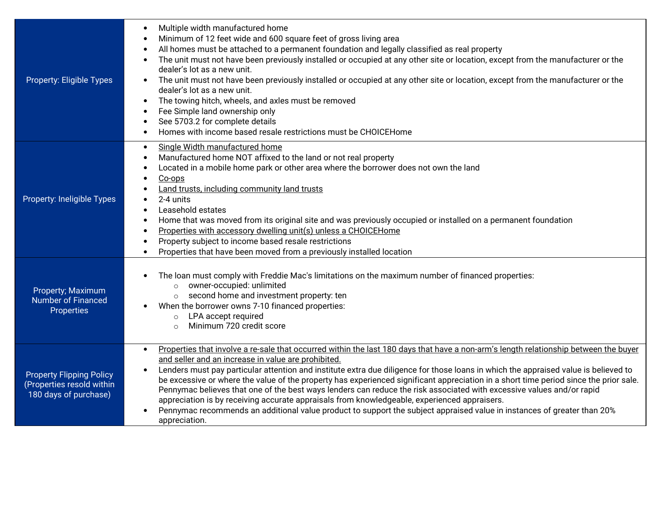| Property: Eligible Types                                                              | Multiple width manufactured home<br>$\bullet$<br>Minimum of 12 feet wide and 600 square feet of gross living area<br>$\bullet$<br>All homes must be attached to a permanent foundation and legally classified as real property<br>The unit must not have been previously installed or occupied at any other site or location, except from the manufacturer or the<br>$\bullet$<br>dealer's lot as a new unit.<br>The unit must not have been previously installed or occupied at any other site or location, except from the manufacturer or the<br>$\bullet$<br>dealer's lot as a new unit.<br>The towing hitch, wheels, and axles must be removed<br>$\bullet$<br>Fee Simple land ownership only<br>See 5703.2 for complete details<br>$\bullet$<br>Homes with income based resale restrictions must be CHOICEHome<br>$\bullet$                             |
|---------------------------------------------------------------------------------------|---------------------------------------------------------------------------------------------------------------------------------------------------------------------------------------------------------------------------------------------------------------------------------------------------------------------------------------------------------------------------------------------------------------------------------------------------------------------------------------------------------------------------------------------------------------------------------------------------------------------------------------------------------------------------------------------------------------------------------------------------------------------------------------------------------------------------------------------------------------|
| Property: Ineligible Types                                                            | Single Width manufactured home<br>$\bullet$<br>Manufactured home NOT affixed to the land or not real property<br>Located in a mobile home park or other area where the borrower does not own the land<br>Co-ops<br>٠<br>Land trusts, including community land trusts<br>2-4 units<br>$\bullet$<br>Leasehold estates<br>$\bullet$<br>Home that was moved from its original site and was previously occupied or installed on a permanent foundation<br>Properties with accessory dwelling unit(s) unless a CHOICEHome<br>$\bullet$<br>Property subject to income based resale restrictions<br>Properties that have been moved from a previously installed location<br>$\bullet$                                                                                                                                                                                 |
| Property; Maximum<br><b>Number of Financed</b><br>Properties                          | The loan must comply with Freddie Mac's limitations on the maximum number of financed properties:<br>owner-occupied: unlimited<br>$\circ$<br>second home and investment property: ten<br>$\circ$<br>When the borrower owns 7-10 financed properties:<br>LPA accept required<br>$\circ$<br>Minimum 720 credit score<br>$\bigcap$                                                                                                                                                                                                                                                                                                                                                                                                                                                                                                                               |
| <b>Property Flipping Policy</b><br>(Properties resold within<br>180 days of purchase) | Properties that involve a re-sale that occurred within the last 180 days that have a non-arm's length relationship between the buyer<br>$\bullet$<br>and seller and an increase in value are prohibited.<br>Lenders must pay particular attention and institute extra due diligence for those loans in which the appraised value is believed to<br>be excessive or where the value of the property has experienced significant appreciation in a short time period since the prior sale.<br>Pennymac believes that one of the best ways lenders can reduce the risk associated with excessive values and/or rapid<br>appreciation is by receiving accurate appraisals from knowledgeable, experienced appraisers.<br>Pennymac recommends an additional value product to support the subject appraised value in instances of greater than 20%<br>appreciation. |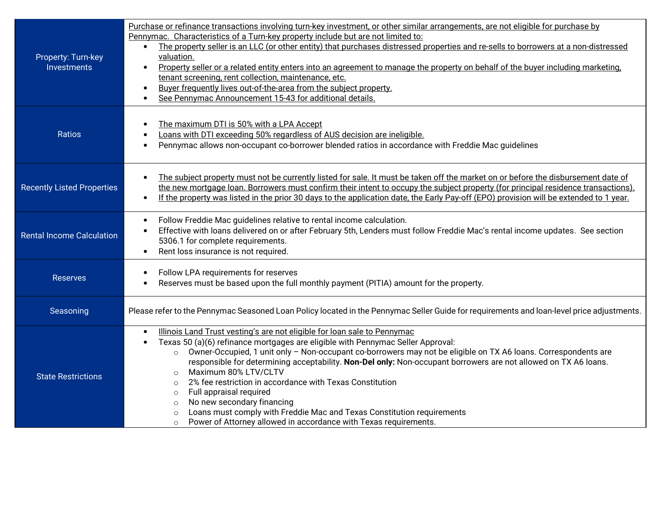| Property: Turn-key<br>Investments | Purchase or refinance transactions involving turn-key investment, or other similar arrangements, are not eligible for purchase by<br>Pennymac. Characteristics of a Turn-key property include but are not limited to:<br>The property seller is an LLC (or other entity) that purchases distressed properties and re-sells to borrowers at a non-distressed<br>$\bullet$<br>valuation.<br>Property seller or a related entity enters into an agreement to manage the property on behalf of the buyer including marketing.<br>tenant screening, rent collection, maintenance, etc.<br>Buyer frequently lives out-of-the-area from the subject property.<br>$\bullet$<br>See Pennymac Announcement 15-43 for additional details.<br>$\bullet$                                            |
|-----------------------------------|----------------------------------------------------------------------------------------------------------------------------------------------------------------------------------------------------------------------------------------------------------------------------------------------------------------------------------------------------------------------------------------------------------------------------------------------------------------------------------------------------------------------------------------------------------------------------------------------------------------------------------------------------------------------------------------------------------------------------------------------------------------------------------------|
| Ratios                            | The maximum DTI is 50% with a LPA Accept<br>Loans with DTI exceeding 50% regardless of AUS decision are ineligible.<br>Pennymac allows non-occupant co-borrower blended ratios in accordance with Freddie Mac guidelines                                                                                                                                                                                                                                                                                                                                                                                                                                                                                                                                                               |
| <b>Recently Listed Properties</b> | The subject property must not be currently listed for sale. It must be taken off the market on or before the disbursement date of<br>$\bullet$<br>the new mortgage loan. Borrowers must confirm their intent to occupy the subject property (for principal residence transactions).<br>If the property was listed in the prior 30 days to the application date, the Early Pay-off (EPO) provision will be extended to 1 year.<br>$\bullet$                                                                                                                                                                                                                                                                                                                                             |
| <b>Rental Income Calculation</b>  | Follow Freddie Mac guidelines relative to rental income calculation.<br>$\bullet$<br>Effective with loans delivered on or after February 5th, Lenders must follow Freddie Mac's rental income updates. See section<br>5306.1 for complete requirements.<br>Rent loss insurance is not required.<br>$\bullet$                                                                                                                                                                                                                                                                                                                                                                                                                                                                           |
| <b>Reserves</b>                   | Follow LPA requirements for reserves<br>Reserves must be based upon the full monthly payment (PITIA) amount for the property.                                                                                                                                                                                                                                                                                                                                                                                                                                                                                                                                                                                                                                                          |
| Seasoning                         | Please refer to the Pennymac Seasoned Loan Policy located in the Pennymac Seller Guide for requirements and loan-level price adjustments.                                                                                                                                                                                                                                                                                                                                                                                                                                                                                                                                                                                                                                              |
| <b>State Restrictions</b>         | Illinois Land Trust vesting's are not eligible for loan sale to Pennymac<br>$\bullet$<br>Texas 50 (a)(6) refinance mortgages are eligible with Pennymac Seller Approval:<br>Owner-Occupied, 1 unit only - Non-occupant co-borrowers may not be eligible on TX A6 loans. Correspondents are<br>$\circ$<br>responsible for determining acceptability. Non-Del only: Non-occupant borrowers are not allowed on TX A6 loans.<br>Maximum 80% LTV/CLTV<br>$\circ$<br>2% fee restriction in accordance with Texas Constitution<br>$\Omega$<br>Full appraisal required<br>$\circ$<br>No new secondary financing<br>$\circ$<br>Loans must comply with Freddie Mac and Texas Constitution requirements<br>$\circ$<br>Power of Attorney allowed in accordance with Texas requirements.<br>$\circ$ |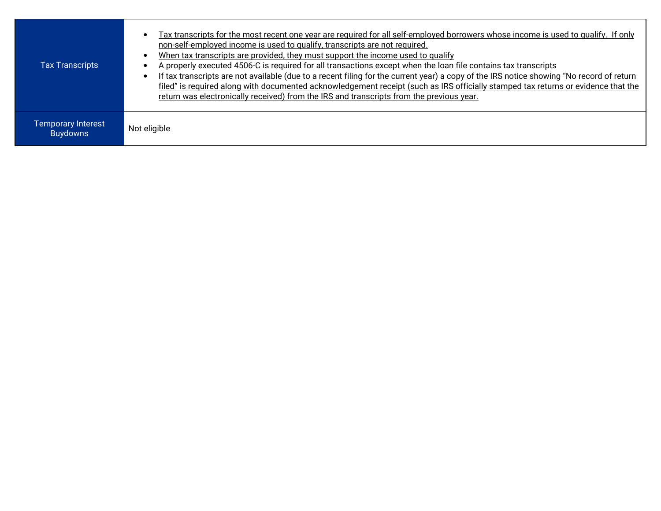| <b>Tax Transcripts</b>                | Tax transcripts for the most recent one year are required for all self-employed borrowers whose income is used to qualify. If only<br>non-self-employed income is used to qualify, transcripts are not required.<br>When tax transcripts are provided, they must support the income used to qualify<br>A properly executed 4506-C is required for all transactions except when the loan file contains tax transcripts<br>If tax transcripts are not available (due to a recent filing for the current year) a copy of the IRS notice showing "No record of return<br>filed" is required along with documented acknowledgement receipt (such as IRS officially stamped tax returns or evidence that the<br>return was electronically received) from the IRS and transcripts from the previous year. |
|---------------------------------------|----------------------------------------------------------------------------------------------------------------------------------------------------------------------------------------------------------------------------------------------------------------------------------------------------------------------------------------------------------------------------------------------------------------------------------------------------------------------------------------------------------------------------------------------------------------------------------------------------------------------------------------------------------------------------------------------------------------------------------------------------------------------------------------------------|
| Temporary Interest<br><b>Buydowns</b> | Not eligible                                                                                                                                                                                                                                                                                                                                                                                                                                                                                                                                                                                                                                                                                                                                                                                       |